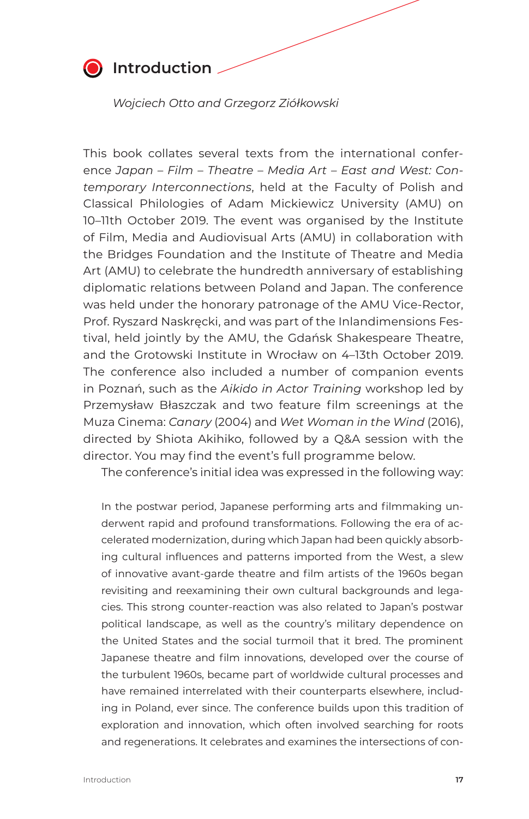

## **<sup>** $\bullet$ **</sup>** Introduction

 *Wojciech Otto and Grzegorz Ziółkowski*

This book collates several texts from the international conference *Japan – Film – Theatre – Media Art – East and West: Contemporary Interconnections*, held at the Faculty of Polish and Classical Philologies of Adam Mickiewicz University (AMU) on 10–11th October 2019. The event was organised by the Institute of Film, Media and Audiovisual Arts (AMU) in collaboration with the Bridges Foundation and the Institute of Theatre and Media Art (AMU) to celebrate the hundredth anniversary of establishing diplomatic relations between Poland and Japan. The conference was held under the honorary patronage of the AMU Vice-Rector, Prof. Ryszard Naskręcki, and was part of the Inlandimensions Festival, held jointly by the AMU, the Gdańsk Shakespeare Theatre, and the Grotowski Institute in Wrocław on 4–13th October 2019. The conference also included a number of companion events in Poznań, such as the *Aikido in Actor Training* workshop led by Przemysław Błaszczak and two feature film screenings at the Muza Cinema: *Canary* (2004) and *Wet Woman in the Wind* (2016), directed by Shiota Akihiko, followed by a Q&A session with the director. You may find the event's full programme below.

The conference's initial idea was expressed in the following way:

In the postwar period, Japanese performing arts and filmmaking underwent rapid and profound transformations. Following the era of accelerated modernization, during which Japan had been quickly absorbing cultural influences and patterns imported from the West, a slew of innovative avant-garde theatre and film artists of the 1960s began revisiting and reexamining their own cultural backgrounds and legacies. This strong counter-reaction was also related to Japan's postwar political landscape, as well as the country's military dependence on the United States and the social turmoil that it bred. The prominent Japanese theatre and film innovations, developed over the course of the turbulent 1960s, became part of worldwide cultural processes and have remained interrelated with their counterparts elsewhere, including in Poland, ever since. The conference builds upon this tradition of exploration and innovation, which often involved searching for roots and regenerations. It celebrates and examines the intersections of con